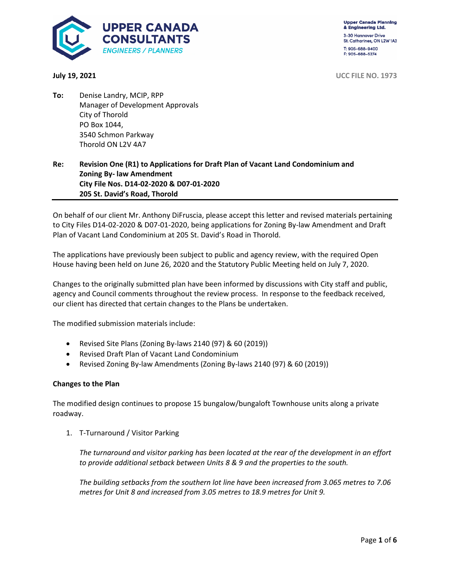

**Upper Canada Planning** & Engineering Ltd. 3-30 Hannover Drive St. Catharines, ON L2W 1A3 T: 905-688-9400

**July 19, 2021** UCC FILE NO. 1973

**To:** Denise Landry, MCIP, RPP Manager of Development Approvals City of Thorold PO Box 1044, 3540 Schmon Parkway Thorold ON L2V 4A7

## **Re: Revision One (R1) to Applications for Draft Plan of Vacant Land Condominium and Zoning By- law Amendment City File Nos. D14-02-2020 & D07-01-2020 205 St. David's Road, Thorold**

On behalf of our client Mr. Anthony DiFruscia, please accept this letter and revised materials pertaining to City Files D14-02-2020 & D07-01-2020, being applications for Zoning By-law Amendment and Draft Plan of Vacant Land Condominium at 205 St. David's Road in Thorold.

The applications have previously been subject to public and agency review, with the required Open House having been held on June 26, 2020 and the Statutory Public Meeting held on July 7, 2020.

Changes to the originally submitted plan have been informed by discussions with City staff and public, agency and Council comments throughout the review process. In response to the feedback received, our client has directed that certain changes to the Plans be undertaken.

The modified submission materials include:

- Revised Site Plans (Zoning By-laws 2140 (97) & 60 (2019))
- Revised Draft Plan of Vacant Land Condominium
- Revised Zoning By-law Amendments (Zoning By-laws 2140 (97) & 60 (2019))

#### **Changes to the Plan**

The modified design continues to propose 15 bungalow/bungaloft Townhouse units along a private roadway.

1. T-Turnaround / Visitor Parking

*The turnaround and visitor parking has been located at the rear of the development in an effort to provide additional setback between Units 8 & 9 and the properties to the south.* 

*The building setbacks from the southern lot line have been increased from 3.065 metres to 7.06 metres for Unit 8 and increased from 3.05 metres to 18.9 metres for Unit 9.*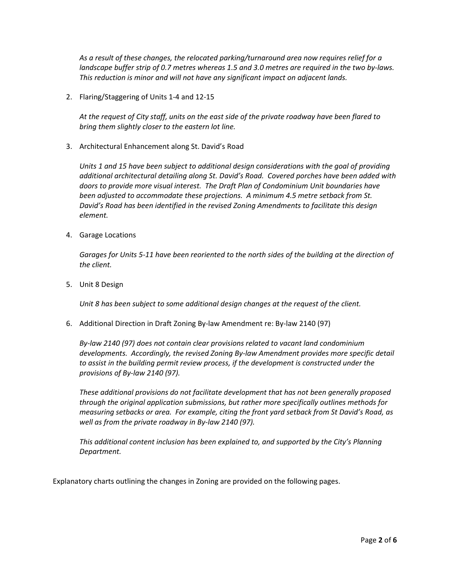*As a result of these changes, the relocated parking/turnaround area now requires relief for a landscape buffer strip of 0.7 metres whereas 1.5 and 3.0 metres are required in the two by-laws. This reduction is minor and will not have any significant impact on adjacent lands.* 

2. Flaring/Staggering of Units 1-4 and 12-15

*At the request of City staff, units on the east side of the private roadway have been flared to bring them slightly closer to the eastern lot line.* 

3. Architectural Enhancement along St. David's Road

*Units 1 and 15 have been subject to additional design considerations with the goal of providing additional architectural detailing along St. David's Road. Covered porches have been added with doors to provide more visual interest. The Draft Plan of Condominium Unit boundaries have been adjusted to accommodate these projections. A minimum 4.5 metre setback from St. David's Road has been identified in the revised Zoning Amendments to facilitate this design element.* 

4. Garage Locations

*Garages for Units 5-11 have been reoriented to the north sides of the building at the direction of the client.* 

5. Unit 8 Design

*Unit 8 has been subject to some additional design changes at the request of the client.* 

6. Additional Direction in Draft Zoning By-law Amendment re: By-law 2140 (97)

*By-law 2140 (97) does not contain clear provisions related to vacant land condominium developments. Accordingly, the revised Zoning By-law Amendment provides more specific detail to assist in the building permit review process, if the development is constructed under the provisions of By-law 2140 (97).* 

*These additional provisions do not facilitate development that has not been generally proposed through the original application submissions, but rather more specifically outlines methods for measuring setbacks or area. For example, citing the front yard setback from St David's Road, as well as from the private roadway in By-law 2140 (97).* 

*This additional content inclusion has been explained to, and supported by the City's Planning Department.* 

Explanatory charts outlining the changes in Zoning are provided on the following pages.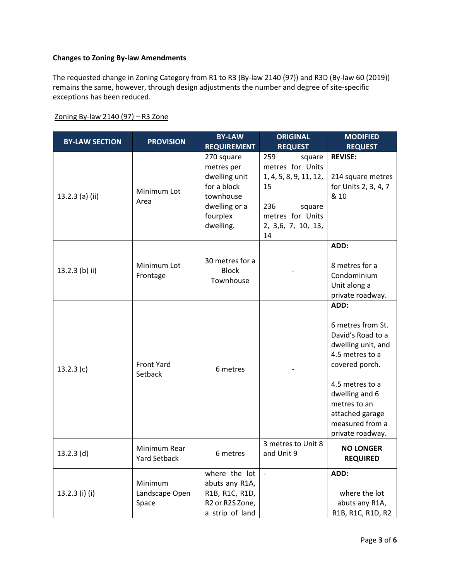### **Changes to Zoning By-law Amendments**

The requested change in Zoning Category from R1 to R3 (By-law 2140 (97)) and R3D (By-law 60 (2019)) remains the same, however, through design adjustments the number and degree of site-specific exceptions has been reduced.

| <b>BY-LAW SECTION</b> | <b>PROVISION</b>                    | <b>BY-LAW</b><br><b>REQUIREMENT</b>                                                                             | <b>ORIGINAL</b><br><b>REQUEST</b>                                                                                                  | <b>MODIFIED</b><br><b>REQUEST</b>                                                                                                                                                                                        |
|-----------------------|-------------------------------------|-----------------------------------------------------------------------------------------------------------------|------------------------------------------------------------------------------------------------------------------------------------|--------------------------------------------------------------------------------------------------------------------------------------------------------------------------------------------------------------------------|
| 13.2.3 (a) (ii)       | Minimum Lot<br>Area                 | 270 square<br>metres per<br>dwelling unit<br>for a block<br>townhouse<br>dwelling or a<br>fourplex<br>dwelling. | 259<br>square<br>metres for Units<br>1, 4, 5, 8, 9, 11, 12,<br>15<br>236<br>square<br>metres for Units<br>2, 3,6, 7, 10, 13,<br>14 | <b>REVISE:</b><br>214 square metres<br>for Units 2, 3, 4, 7<br>& 10                                                                                                                                                      |
| 13.2.3 (b) ii)        | Minimum Lot<br>Frontage             | 30 metres for a<br><b>Block</b><br>Townhouse                                                                    |                                                                                                                                    | ADD:<br>8 metres for a<br>Condominium<br>Unit along a<br>private roadway.                                                                                                                                                |
| 13.2.3(c)             | <b>Front Yard</b><br>Setback        | 6 metres                                                                                                        |                                                                                                                                    | ADD:<br>6 metres from St.<br>David's Road to a<br>dwelling unit, and<br>4.5 metres to a<br>covered porch.<br>4.5 metres to a<br>dwelling and 6<br>metres to an<br>attached garage<br>measured from a<br>private roadway. |
| $13.2.3$ (d)          | Minimum Rear<br><b>Yard Setback</b> | 6 metres                                                                                                        | 3 metres to Unit 8<br>and Unit 9                                                                                                   | <b>NO LONGER</b><br><b>REQUIRED</b>                                                                                                                                                                                      |
| 13.2.3 (i) (i)        | Minimum<br>Landscape Open<br>Space  | where the lot<br>abuts any R1A,<br>R1B, R1C, R1D,<br>R2 or R2S Zone,<br>a strip of land                         | $\blacksquare$                                                                                                                     | ADD:<br>where the lot<br>abuts any R1A,<br>R1B, R1C, R1D, R2                                                                                                                                                             |

Zoning By-law 2140 (97) – R3 Zone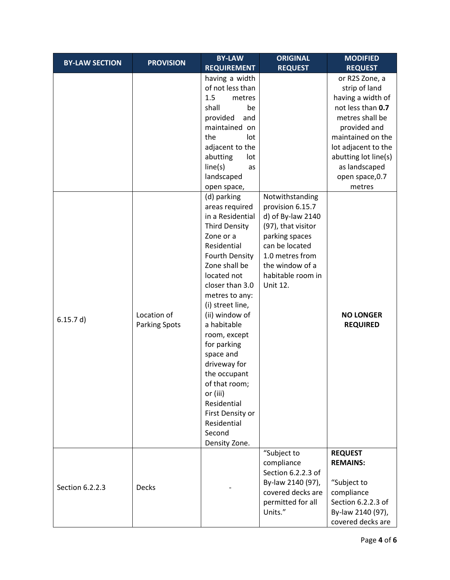|                       |                                     | <b>BY-LAW</b>                                                                                                                                                                                                                                                                                                                                                                                                                                          | <b>ORIGINAL</b>                                                                                                                                                                                  | <b>MODIFIED</b>                                                                                                                                                                                                      |
|-----------------------|-------------------------------------|--------------------------------------------------------------------------------------------------------------------------------------------------------------------------------------------------------------------------------------------------------------------------------------------------------------------------------------------------------------------------------------------------------------------------------------------------------|--------------------------------------------------------------------------------------------------------------------------------------------------------------------------------------------------|----------------------------------------------------------------------------------------------------------------------------------------------------------------------------------------------------------------------|
| <b>BY-LAW SECTION</b> | <b>PROVISION</b>                    | <b>REQUIREMENT</b>                                                                                                                                                                                                                                                                                                                                                                                                                                     | <b>REQUEST</b>                                                                                                                                                                                   | <b>REQUEST</b>                                                                                                                                                                                                       |
|                       |                                     | having a width<br>of not less than<br>1.5<br>metres<br>shall<br>be<br>provided<br>and<br>maintained on<br>the<br>lot<br>adjacent to the<br>abutting<br>lot<br>line(s)<br>as<br>landscaped                                                                                                                                                                                                                                                              |                                                                                                                                                                                                  | or R2S Zone, a<br>strip of land<br>having a width of<br>not less than 0.7<br>metres shall be<br>provided and<br>maintained on the<br>lot adjacent to the<br>abutting lot line(s)<br>as landscaped<br>open space, 0.7 |
| 6.15.7 d)             | Location of<br><b>Parking Spots</b> | open space,<br>(d) parking<br>areas required<br>in a Residential<br><b>Third Density</b><br>Zone or a<br>Residential<br>Fourth Density<br>Zone shall be<br>located not<br>closer than 3.0<br>metres to any:<br>(i) street line,<br>(ii) window of<br>a habitable<br>room, except<br>for parking<br>space and<br>driveway for<br>the occupant<br>of that room;<br>or (iii)<br>Residential<br>First Density or<br>Residential<br>Second<br>Density Zone. | Notwithstanding<br>provision 6.15.7<br>d) of By-law 2140<br>(97), that visitor<br>parking spaces<br>can be located<br>1.0 metres from<br>the window of a<br>habitable room in<br><b>Unit 12.</b> | metres<br><b>NO LONGER</b><br><b>REQUIRED</b>                                                                                                                                                                        |
| Section 6.2.2.3       | Decks                               |                                                                                                                                                                                                                                                                                                                                                                                                                                                        | "Subject to<br>compliance<br>Section 6.2.2.3 of<br>By-law 2140 (97),<br>covered decks are<br>permitted for all<br>Units."                                                                        | <b>REQUEST</b><br><b>REMAINS:</b><br>"Subject to<br>compliance<br>Section 6.2.2.3 of<br>By-law 2140 (97),<br>covered decks are                                                                                       |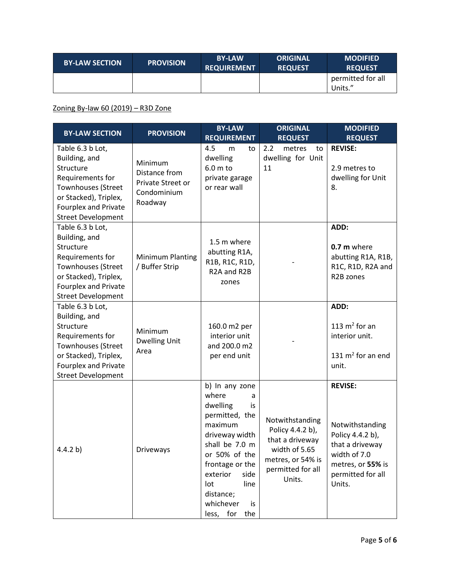| <b>BY-LAW SECTION</b> | <b>PROVISION</b> | <b>BY-LAW</b><br><b>REQUIREMENT</b> | <b>ORIGINAL</b><br><b>REQUEST</b> | <b>MODIFIED</b><br><b>REQUEST</b> |
|-----------------------|------------------|-------------------------------------|-----------------------------------|-----------------------------------|
|                       |                  |                                     |                                   | permitted for all<br>Units."      |

# Zoning By-law 60 (2019) – R3D Zone

| <b>BY-LAW SECTION</b>                                                                                                                                                         | <b>PROVISION</b>                                                        | <b>BY-LAW</b><br><b>REQUIREMENT</b>                                                                                                                                                                                                     | <b>ORIGINAL</b><br><b>REQUEST</b>                                                                                           | <b>MODIFIED</b><br><b>REQUEST</b>                                                                                                            |
|-------------------------------------------------------------------------------------------------------------------------------------------------------------------------------|-------------------------------------------------------------------------|-----------------------------------------------------------------------------------------------------------------------------------------------------------------------------------------------------------------------------------------|-----------------------------------------------------------------------------------------------------------------------------|----------------------------------------------------------------------------------------------------------------------------------------------|
| Table 6.3 b Lot,<br>Building, and<br>Structure<br>Requirements for<br>Townhouses (Street<br>or Stacked), Triplex,<br><b>Fourplex and Private</b><br><b>Street Development</b> | Minimum<br>Distance from<br>Private Street or<br>Condominium<br>Roadway | 4.5<br>m<br>to<br>dwelling<br>6.0 m to<br>private garage<br>or rear wall                                                                                                                                                                | 2.2<br>metres<br>to<br>dwelling for Unit<br>11                                                                              | <b>REVISE:</b><br>2.9 metres to<br>dwelling for Unit<br>8.                                                                                   |
| Table 6.3 b Lot,<br>Building, and<br>Structure<br>Requirements for<br><b>Townhouses (Street</b><br>or Stacked), Triplex,<br>Fourplex and Private<br><b>Street Development</b> | Minimum Planting<br>/ Buffer Strip                                      | 1.5 m where<br>abutting R1A,<br>R1B, R1C, R1D,<br>R <sub>2</sub> A and R <sub>2</sub> B<br>zones                                                                                                                                        |                                                                                                                             | ADD:<br>0.7 m where<br>abutting R1A, R1B,<br>R1C, R1D, R2A and<br>R2B zones                                                                  |
| Table 6.3 b Lot,<br>Building, and<br>Structure<br>Requirements for<br>Townhouses (Street<br>or Stacked), Triplex,<br>Fourplex and Private<br><b>Street Development</b>        | Minimum<br><b>Dwelling Unit</b><br>Area                                 | 160.0 m2 per<br>interior unit<br>and 200.0 m2<br>per end unit                                                                                                                                                                           |                                                                                                                             | ADD:<br>113 $m2$ for an<br>interior unit.<br>131 $m2$ for an end<br>unit.                                                                    |
| 4.4.2 b)                                                                                                                                                                      | Driveways                                                               | b) In any zone<br>where<br>a<br>dwelling<br>is<br>permitted, the<br>maximum<br>driveway width<br>shall be 7.0 m<br>or 50% of the<br>frontage or the<br>exterior<br>side<br>lot<br>line<br>distance;<br>whichever<br>is<br>less, for the | Notwithstanding<br>Policy 4.4.2 b),<br>that a driveway<br>width of 5.65<br>metres, or 54% is<br>permitted for all<br>Units. | <b>REVISE:</b><br>Notwithstanding<br>Policy 4.4.2 b),<br>that a driveway<br>width of 7.0<br>metres, or 55% is<br>permitted for all<br>Units. |